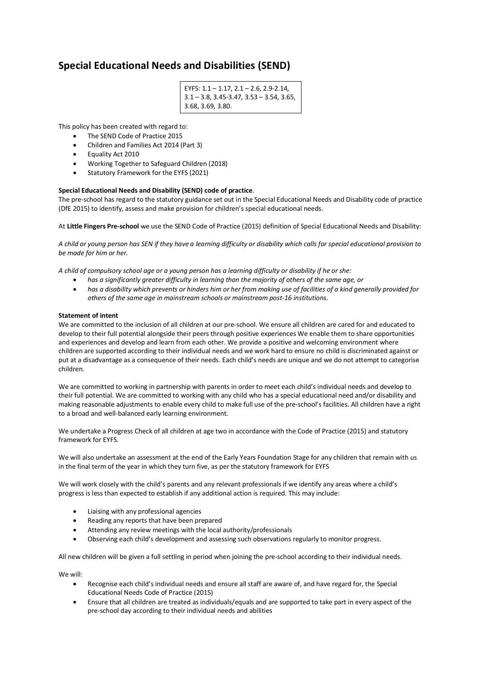# **Special Educational Needs and Disabilities (SEND)**

```
EYFS: 1.1 – 1.17, 2.1 – 2.6, 2.9-2.14, 
3.1 – 3.8, 3.45-3.47, 3.53 – 3.54, 3.65, 
3.68, 3.69, 3.80.
```
This policy has been created with regard to:

- The SEND Code of Practice 2015
- Children and Families Act 2014 (Part 3)
- Equality Act 2010
- Working Together to Safeguard Children (2018)
- Statutory Framework for the EYFS (2021)

## **Special Educational Needs and Disability (SEND) code of practice**.

The pre-school has regard to the statutory guidance set out in the Special Educational Needs and Disability code of practice (DfE 2015) to identify, assess and make provision for children's special educational needs.

At **Little Fingers Pre-school** we use the SEND Code of Practice (2015) definition of Special Educational Needs and Disability:

*A child or young person has SEN if they have a learning difficulty or disability which calls for special educational provision to be made for him or her.*

*A child of compulsory school age or a young person has a learning difficulty or disability if he or she:*

- *has a significantly greater difficulty in learning than the majority of others of the same age, or*
- *has a disability which prevents or hinders him or her from making use of facilities of a kind generally provided for others of the same age in mainstream schools or mainstream post-16 institutions.*

### **Statement of intent**

We are committed to the inclusion of all children at our pre-school. We ensure all children are cared for and educated to develop to their full potential alongside their peers through positive experiences We enable them to share opportunities and experiences and develop and learn from each other. We provide a positive and welcoming environment where children are supported according to their individual needs and we work hard to ensure no child is discriminated against or put at a disadvantage as a consequence of their needs. Each child's needs are unique and we do not attempt to categorise children.

We are committed to working in partnership with parents in order to meet each child's individual needs and develop to their full potential. We are committed to working with any child who has a special educational need and/or disability and making reasonable adjustments to enable every child to make full use of the pre-school's facilities. All children have a right to a broad and well-balanced early learning environment.

We undertake a Progress Check of all children at age two in accordance with the Code of Practice (2015) and statutory framework for EYFS.

We will also undertake an assessment at the end of the Early Years Foundation Stage for any children that remain with us in the final term of the year in which they turn five, as per the statutory framework for EYFS

We will work closely with the child's parents and any relevant professionals if we identify any areas where a child's progress is less than expected to establish if any additional action is required. This may include:

- Liaising with any professional agencies
- Reading any reports that have been prepared
- Attending any review meetings with the local authority/professionals
- Observing each child's development and assessing such observations regularly to monitor progress.

All new children will be given a full settling in period when joining the pre-school according to their individual needs.

We will:

- Recognise each child's individual needs and ensure all staff are aware of, and have regard for, the Special Educational Needs Code of Practice (2015)
- Ensure that all children are treated as individuals/equals and are supported to take part in every aspect of the pre-school day according to their individual needs and abilities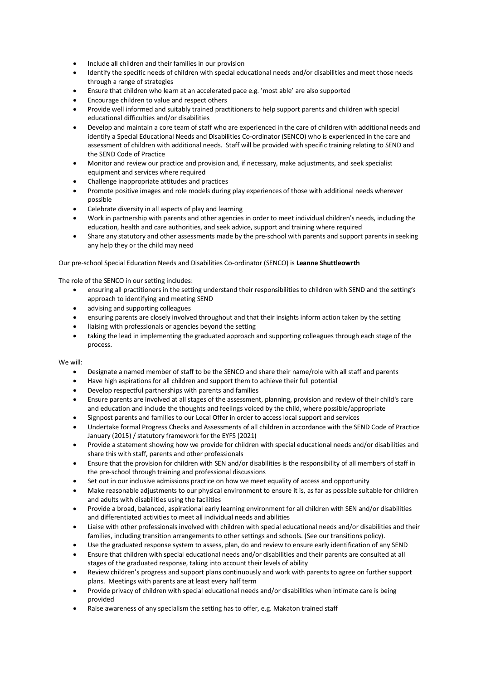- Include all children and their families in our provision
- Identify the specific needs of children with special educational needs and/or disabilities and meet those needs through a range of strategies
- Ensure that children who learn at an accelerated pace e.g. 'most able' are also supported
- Encourage children to value and respect others
- Provide well informed and suitably trained practitioners to help support parents and children with special educational difficulties and/or disabilities
- Develop and maintain a core team of staff who are experienced in the care of children with additional needs and identify a Special Educational Needs and Disabilities Co-ordinator (SENCO) who is experienced in the care and assessment of children with additional needs. Staff will be provided with specific training relating to SEND and the SEND Code of Practice
- Monitor and review our practice and provision and, if necessary, make adjustments, and seek specialist equipment and services where required
- Challenge inappropriate attitudes and practices
- Promote positive images and role models during play experiences of those with additional needs wherever possible
- Celebrate diversity in all aspects of play and learning
- Work in partnership with parents and other agencies in order to meet individual children's needs, including the education, health and care authorities, and seek advice, support and training where required
- Share any statutory and other assessments made by the pre-school with parents and support parents in seeking any help they or the child may need

## Our pre-school Special Education Needs and Disabilities Co-ordinator (SENCO) is **Leanne Shuttleowrth**

The role of the SENCO in our setting includes:

- ensuring all practitioners in the setting understand their responsibilities to children with SEND and the setting's approach to identifying and meeting SEND
- advising and supporting colleagues
- ensuring parents are closely involved throughout and that their insights inform action taken by the setting
- liaising with professionals or agencies beyond the setting
- taking the lead in implementing the graduated approach and supporting colleagues through each stage of the process.

We will:

- Designate a named member of staff to be the SENCO and share their name/role with all staff and parents
- Have high aspirations for all children and support them to achieve their full potential
- Develop respectful partnerships with parents and families
- Ensure parents are involved at all stages of the assessment, planning, provision and review of their child's care and education and include the thoughts and feelings voiced by the child, where possible/appropriate
- Signpost parents and families to our Local Offer in order to access local support and services
- Undertake formal Progress Checks and Assessments of all children in accordance with the SEND Code of Practice January (2015) / statutory framework for the EYFS (2021)
- Provide a statement showing how we provide for children with special educational needs and/or disabilities and share this with staff, parents and other professionals
- Ensure that the provision for children with SEN and/or disabilities is the responsibility of all members of staff in the pre-school through training and professional discussions
- Set out in our inclusive admissions practice on how we meet equality of access and opportunity
- Make reasonable adjustments to our physical environment to ensure it is, as far as possible suitable for children and adults with disabilities using the facilities
- Provide a broad, balanced, aspirational early learning environment for all children with SEN and/or disabilities and differentiated activities to meet all individual needs and abilities
- Liaise with other professionals involved with children with special educational needs and/or disabilities and their families, including transition arrangements to other settings and schools. (See our transitions policy).
- Use the graduated response system to assess, plan, do and review to ensure early identification of any SEND
- Ensure that children with special educational needs and/or disabilities and their parents are consulted at all stages of the graduated response, taking into account their levels of ability
- Review children's progress and support plans continuously and work with parents to agree on further support plans. Meetings with parents are at least every half term
- Provide privacy of children with special educational needs and/or disabilities when intimate care is being provided
- Raise awareness of any specialism the setting has to offer, e.g. Makaton trained staff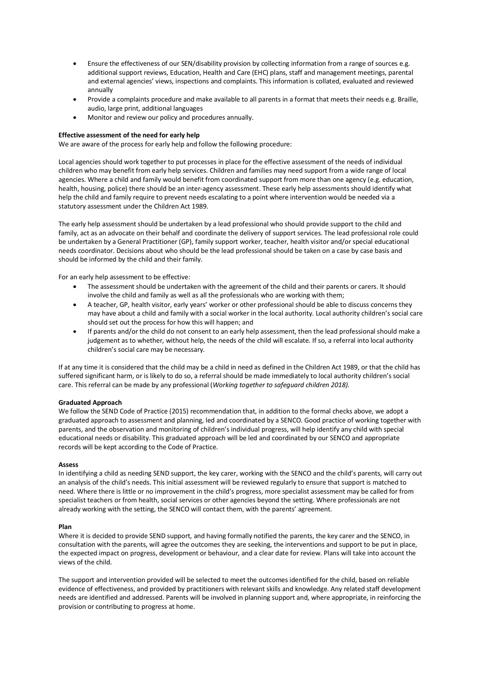- Ensure the effectiveness of our SEN/disability provision by collecting information from a range of sources e.g. additional support reviews, Education, Health and Care (EHC) plans, staff and management meetings, parental and external agencies' views, inspections and complaints. This information is collated, evaluated and reviewed annually
- Provide a complaints procedure and make available to all parents in a format that meets their needs e.g. Braille, audio, large print, additional languages
- Monitor and review our policy and procedures annually.

## **Effective assessment of the need for early help**

We are aware of the process for early help and follow the following procedure:

Local agencies should work together to put processes in place for the effective assessment of the needs of individual children who may benefit from early help services. Children and families may need support from a wide range of local agencies. Where a child and family would benefit from coordinated support from more than one agency (e.g. education, health, housing, police) there should be an inter-agency assessment. These early help assessments should identify what help the child and family require to prevent needs escalating to a point where intervention would be needed via a statutory assessment under the Children Act 1989.

The early help assessment should be undertaken by a lead professional who should provide support to the child and family, act as an advocate on their behalf and coordinate the delivery of support services. The lead professional role could be undertaken by a General Practitioner (GP), family support worker, teacher, health visitor and/or special educational needs coordinator. Decisions about who should be the lead professional should be taken on a case by case basis and should be informed by the child and their family.

For an early help assessment to be effective:

- The assessment should be undertaken with the agreement of the child and their parents or carers. It should involve the child and family as well as all the professionals who are working with them;
- A teacher, GP, health visitor, early years' worker or other professional should be able to discuss concerns they may have about a child and family with a social worker in the local authority. Local authority children's social care should set out the process for how this will happen; and
- If parents and/or the child do not consent to an early help assessment, then the lead professional should make a judgement as to whether, without help, the needs of the child will escalate. If so, a referral into local authority children's social care may be necessary.

If at any time it is considered that the child may be a child in need as defined in the Children Act 1989, or that the child has suffered significant harm, or is likely to do so, a referral should be made immediately to local authority children's social care. This referral can be made by any professional (*Working together to safeguard children 2018).*

## **Graduated Approach**

We follow the SEND Code of Practice (2015) recommendation that, in addition to the formal checks above, we adopt a graduated approach to assessment and planning, led and coordinated by a SENCO. Good practice of working together with parents, and the observation and monitoring of children's individual progress, will help identify any child with special educational needs or disability. This graduated approach will be led and coordinated by our SENCO and appropriate records will be kept according to the Code of Practice.

### **Assess**

In identifying a child as needing SEND support, the key carer, working with the SENCO and the child's parents, will carry out an analysis of the child's needs. This initial assessment will be reviewed regularly to ensure that support is matched to need. Where there is little or no improvement in the child's progress, more specialist assessment may be called for from specialist teachers or from health, social services or other agencies beyond the setting. Where professionals are not already working with the setting, the SENCO will contact them, with the parents' agreement.

#### **Plan**

Where it is decided to provide SEND support, and having formally notified the parents, the key carer and the SENCO, in consultation with the parents, will agree the outcomes they are seeking, the interventions and support to be put in place, the expected impact on progress, development or behaviour, and a clear date for review. Plans will take into account the views of the child.

The support and intervention provided will be selected to meet the outcomes identified for the child, based on reliable evidence of effectiveness, and provided by practitioners with relevant skills and knowledge. Any related staff development needs are identified and addressed. Parents will be involved in planning support and, where appropriate, in reinforcing the provision or contributing to progress at home.